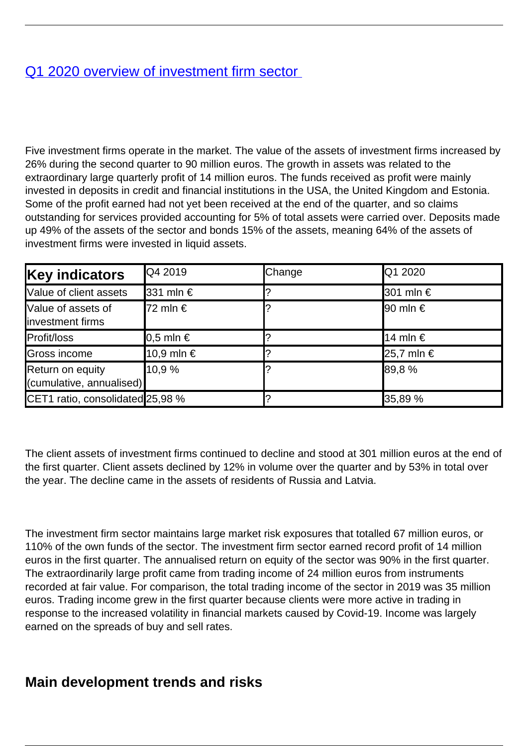## [Q1 2020 overview of investment firm sector](/en/publications/q1-2020-overview-investment-firm-sector)

Five investment firms operate in the market. The value of the assets of investment firms increased by 26% during the second quarter to 90 million euros. The growth in assets was related to the extraordinary large quarterly profit of 14 million euros. The funds received as profit were mainly invested in deposits in credit and financial institutions in the USA, the United Kingdom and Estonia. Some of the profit earned had not yet been received at the end of the quarter, and so claims outstanding for services provided accounting for 5% of total assets were carried over. Deposits made up 49% of the assets of the sector and bonds 15% of the assets, meaning 64% of the assets of investment firms were invested in liquid assets.

| <b>Key indicators</b>                        | Q4 2019      | Change | <b>Q1 2020</b>             |
|----------------------------------------------|--------------|--------|----------------------------|
| Value of client assets                       | 331 mln €    |        | <b>301 mln €</b>           |
| Value of assets of<br>investment firms       | 72 mln €     |        | $\vert 90 \text{ min} \in$ |
| Profit/loss                                  | $ 0,5$ mln € |        | 14 mln €                   |
| Gross income                                 | 10,9 mln €   |        | $ 25,7 \text{ min}$ €      |
| Return on equity<br>(cumulative, annualised) | 10.9 %       |        | 89,8%                      |
| CET1 ratio, consolidated 25,98 %             |              |        | 35,89 %                    |

The client assets of investment firms continued to decline and stood at 301 million euros at the end of the first quarter. Client assets declined by 12% in volume over the quarter and by 53% in total over the year. The decline came in the assets of residents of Russia and Latvia.

The investment firm sector maintains large market risk exposures that totalled 67 million euros, or 110% of the own funds of the sector. The investment firm sector earned record profit of 14 million euros in the first quarter. The annualised return on equity of the sector was 90% in the first quarter. The extraordinarily large profit came from trading income of 24 million euros from instruments recorded at fair value. For comparison, the total trading income of the sector in 2019 was 35 million euros. Trading income grew in the first quarter because clients were more active in trading in response to the increased volatility in financial markets caused by Covid-19. Income was largely earned on the spreads of buy and sell rates.

## **Main development trends and risks**